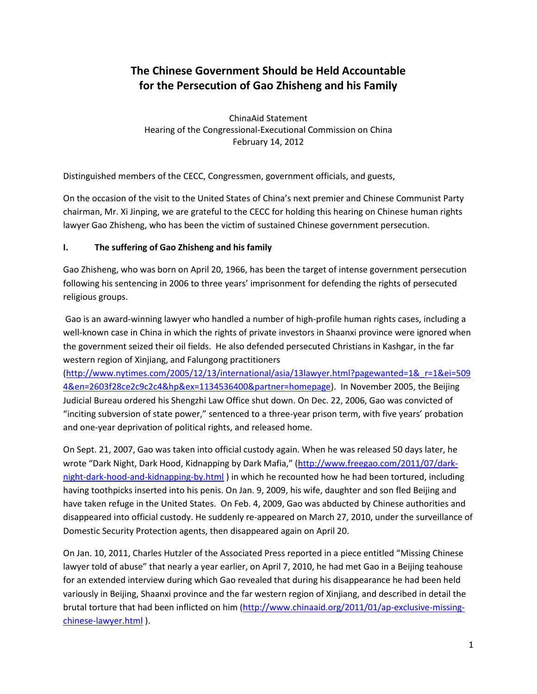# **The Chinese Government Should be Held Accountable for the Persecution of Gao Zhisheng and his Family**

ChinaAid Statement Hearing of the Congressional-Executional Commission on China February 14, 2012

Distinguished members of the CECC, Congressmen, government officials, and guests,

On the occasion of the visit to the United States of China's next premier and Chinese Communist Party chairman, Mr. Xi Jinping, we are grateful to the CECC for holding this hearing on Chinese human rights lawyer Gao Zhisheng, who has been the victim of sustained Chinese government persecution.

### **I. The suffering of Gao Zhisheng and his family**

Gao Zhisheng, who was born on April 20, 1966, has been the target of intense government persecution following his sentencing in 2006 to three years' imprisonment for defending the rights of persecuted religious groups.

Gao is an award-winning lawyer who handled a number of high-profile human rights cases, including a well-known case in China in which the rights of private investors in Shaanxi province were ignored when the government seized their oil fields. He also defended persecuted Christians in Kashgar, in the far western region of Xinjiang, and Falungong practitioners

[\(http://www.nytimes.com/2005/12/13/international/asia/13lawyer.html?pagewanted=1&\\_r=1&ei=509](http://www.nytimes.com/2005/12/13/international/asia/13lawyer.html?pagewanted=1&_r=1&ei=5094&en=2603f28ce2c9c2c4&hp&ex=1134536400&partner=homepage) [4&en=2603f28ce2c9c2c4&hp&ex=1134536400&partner=homepage\)](http://www.nytimes.com/2005/12/13/international/asia/13lawyer.html?pagewanted=1&_r=1&ei=5094&en=2603f28ce2c9c2c4&hp&ex=1134536400&partner=homepage). In November 2005, the Beijing Judicial Bureau ordered his Shengzhi Law Office shut down. On Dec. 22, 2006, Gao was convicted of "inciting subversion of state power," sentenced to a three-year prison term, with five years' probation and one-year deprivation of political rights, and released home.

On Sept. 21, 2007, Gao was taken into official custody again. When he was released 50 days later, he wrote "Dark Night, Dark Hood, Kidnapping by Dark Mafia," ([http://www.freegao.com/2011/07/dark](http://www.freegao.com/2011/07/dark-night-dark-hood-and-kidnapping-by.html)[night-dark-hood-and-kidnapping-by.html](http://www.freegao.com/2011/07/dark-night-dark-hood-and-kidnapping-by.html) ) in which he recounted how he had been tortured, including having toothpicks inserted into his penis. On Jan. 9, 2009, his wife, daughter and son fled Beijing and have taken refuge in the United States. On Feb. 4, 2009, Gao was abducted by Chinese authorities and disappeared into official custody. He suddenly re-appeared on March 27, 2010, under the surveillance of Domestic Security Protection agents, then disappeared again on April 20.

On Jan. 10, 2011, Charles Hutzler of the Associated Press reported in a piece entitled "Missing Chinese lawyer told of abuse" that nearly a year earlier, on April 7, 2010, he had met Gao in a Beijing teahouse for an extended interview during which Gao revealed that during his disappearance he had been held variously in Beijing, Shaanxi province and the far western region of Xinjiang, and described in detail the brutal torture that had been inflicted on him [\(http://www.chinaaid.org/2011/01/ap-exclusive-missing](http://www.chinaaid.org/2011/01/ap-exclusive-missing-chinese-lawyer.html)[chinese-lawyer.html](http://www.chinaaid.org/2011/01/ap-exclusive-missing-chinese-lawyer.html) ).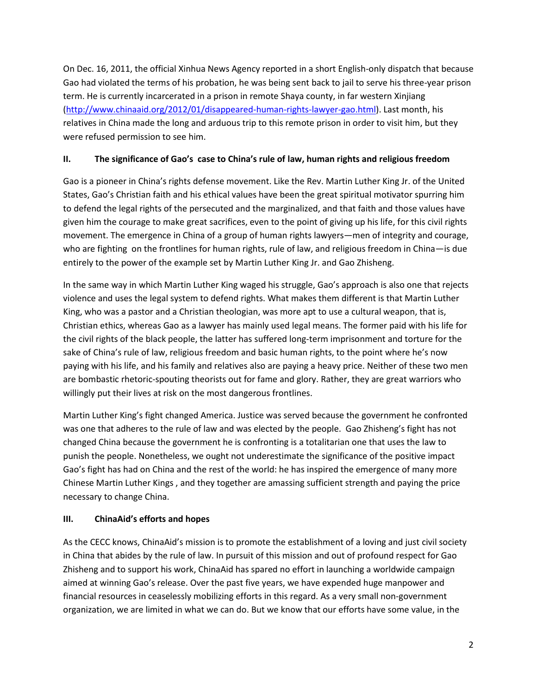On Dec. 16, 2011, the official Xinhua News Agency reported in a short English-only dispatch that because Gao had violated the terms of his probation, he was being sent back to jail to serve his three-year prison term. He is currently incarcerated in a prison in remote Shaya county, in far western Xinjiang [\(http://www.chinaaid.org/2012/01/disappeared-human-rights-lawyer-gao.html\)](http://www.chinaaid.org/2012/01/disappeared-human-rights-lawyer-gao.html). Last month, his relatives in China made the long and arduous trip to this remote prison in order to visit him, but they were refused permission to see him.

# **II. The significance of Gao's case to China's rule of law, human rights and religious freedom**

Gao is a pioneer in China's rights defense movement. Like the Rev. Martin Luther King Jr. of the United States, Gao's Christian faith and his ethical values have been the great spiritual motivator spurring him to defend the legal rights of the persecuted and the marginalized, and that faith and those values have given him the courage to make great sacrifices, even to the point of giving up his life, for this civil rights movement. The emergence in China of a group of human rights lawyers—men of integrity and courage, who are fighting on the frontlines for human rights, rule of law, and religious freedom in China—is due entirely to the power of the example set by Martin Luther King Jr. and Gao Zhisheng.

In the same way in which Martin Luther King waged his struggle, Gao's approach is also one that rejects violence and uses the legal system to defend rights. What makes them different is that Martin Luther King, who was a pastor and a Christian theologian, was more apt to use a cultural weapon, that is, Christian ethics, whereas Gao as a lawyer has mainly used legal means. The former paid with his life for the civil rights of the black people, the latter has suffered long-term imprisonment and torture for the sake of China's rule of law, religious freedom and basic human rights, to the point where he's now paying with his life, and his family and relatives also are paying a heavy price. Neither of these two men are bombastic rhetoric-spouting theorists out for fame and glory. Rather, they are great warriors who willingly put their lives at risk on the most dangerous frontlines.

Martin Luther King's fight changed America. Justice was served because the government he confronted was one that adheres to the rule of law and was elected by the people. Gao Zhisheng's fight has not changed China because the government he is confronting is a totalitarian one that uses the law to punish the people. Nonetheless, we ought not underestimate the significance of the positive impact Gao's fight has had on China and the rest of the world: he has inspired the emergence of many more Chinese Martin Luther Kings , and they together are amassing sufficient strength and paying the price necessary to change China.

## **III. ChinaAid's efforts and hopes**

As the CECC knows, ChinaAid's mission is to promote the establishment of a loving and just civil society in China that abides by the rule of law. In pursuit of this mission and out of profound respect for Gao Zhisheng and to support his work, ChinaAid has spared no effort in launching a worldwide campaign aimed at winning Gao's release. Over the past five years, we have expended huge manpower and financial resources in ceaselessly mobilizing efforts in this regard. As a very small non-government organization, we are limited in what we can do. But we know that our efforts have some value, in the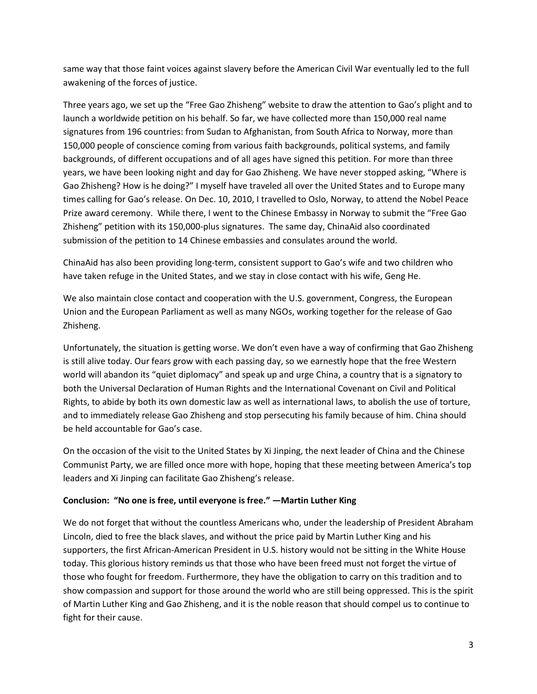same way that those faint voices against slavery before the American Civil War eventually led to the full awakening of the forces of justice.

Three years ago, we set up the "Free Gao Zhisheng" website to draw the attention to Gao's plight and to launch a worldwide petition on his behalf. So far, we have collected more than 150,000 real name signatures from 196 countries: from Sudan to Afghanistan, from South Africa to Norway, more than 150,000 people of conscience coming from various faith backgrounds, political systems, and family backgrounds, of different occupations and of all ages have signed this petition. For more than three years, we have been looking night and day for Gao Zhisheng. We have never stopped asking, "Where is Gao Zhisheng? How is he doing?" I myself have traveled all over the United States and to Europe many times calling for Gao's release. On Dec. 10, 2010, I travelled to Oslo, Norway, to attend the Nobel Peace Prize award ceremony. While there, I went to the Chinese Embassy in Norway to submit the "Free Gao Zhisheng" petition with its 150,000-plus signatures. The same day, ChinaAid also coordinated submission of the petition to 14 Chinese embassies and consulates around the world.

ChinaAid has also been providing long-term, consistent support to Gao's wife and two children who have taken refuge in the United States, and we stay in close contact with his wife, Geng He.

We also maintain close contact and cooperation with the U.S. government, Congress, the European Union and the European Parliament as well as many NGOs, working together for the release of Gao Zhisheng.

Unfortunately, the situation is getting worse. We don't even have a way of confirming that Gao Zhisheng is still alive today. Our fears grow with each passing day, so we earnestly hope that the free Western world will abandon its "quiet diplomacy" and speak up and urge China, a country that is a signatory to both the Universal Declaration of Human Rights and the International Covenant on Civil and Political Rights, to abide by both its own domestic law as well as international laws, to abolish the use of torture, and to immediately release Gao Zhisheng and stop persecuting his family because of him. China should be held accountable for Gao's case.

On the occasion of the visit to the United States by Xi Jinping, the next leader of China and the Chinese Communist Party, we are filled once more with hope, hoping that these meeting between America's top leaders and Xi Jinping can facilitate Gao Zhisheng's release.

#### **Conclusion: "No one is free, until everyone is free." ―Martin Luther King**

We do not forget that without the countless Americans who, under the leadership of President Abraham Lincoln, died to free the black slaves, and without the price paid by Martin Luther King and his supporters, the first African-American President in U.S. history would not be sitting in the White House today. This glorious history reminds us that those who have been freed must not forget the virtue of those who fought for freedom. Furthermore, they have the obligation to carry on this tradition and to show compassion and support for those around the world who are still being oppressed. This is the spirit of Martin Luther King and Gao Zhisheng, and it is the noble reason that should compel us to continue to fight for their cause.